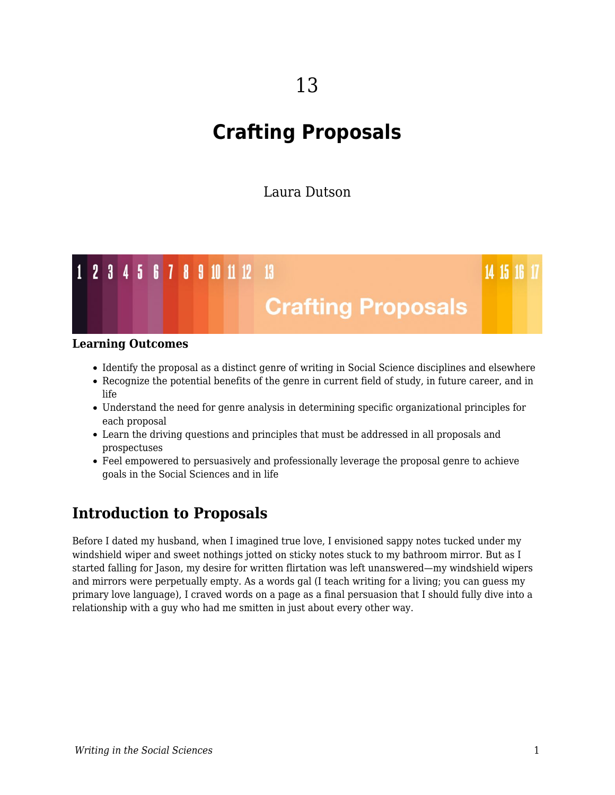# **Crafting Proposals**

Laura Dutson



#### **Learning Outcomes**

- Identify the proposal as a distinct genre of writing in Social Science disciplines and elsewhere
- Recognize the potential benefits of the genre in current field of study, in future career, and in life
- Understand the need for genre analysis in determining specific organizational principles for each proposal
- Learn the driving questions and principles that must be addressed in all proposals and prospectuses
- Feel empowered to persuasively and professionally leverage the proposal genre to achieve goals in the Social Sciences and in life

# **Introduction to Proposals**

Before I dated my husband, when I imagined true love, I envisioned sappy notes tucked under my windshield wiper and sweet nothings jotted on sticky notes stuck to my bathroom mirror. But as I started falling for Jason, my desire for written flirtation was left unanswered—my windshield wipers and mirrors were perpetually empty. As a words gal (I teach writing for a living; you can guess my primary love language), I craved words on a page as a final persuasion that I should fully dive into a relationship with a guy who had me smitten in just about every other way.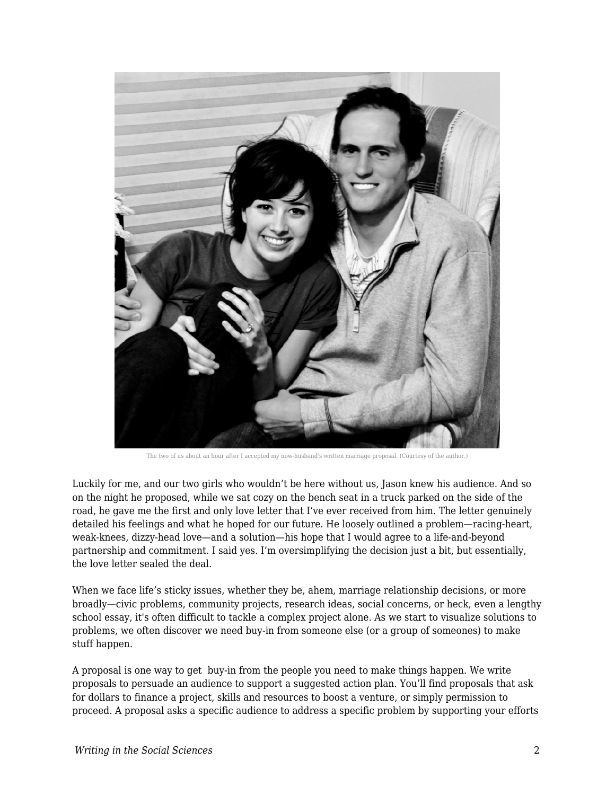

The two of us about an hour after I accepted my now-husband's written marriage proposal. (Courtesy of the author.)

Luckily for me, and our two girls who wouldn't be here without us, Jason knew his audience. And so on the night he proposed, while we sat cozy on the bench seat in a truck parked on the side of the road, he gave me the first and only love letter that I've ever received from him. The letter genuinely detailed his feelings and what he hoped for our future. He loosely outlined a problem—racing-heart, weak-knees, dizzy-head love—and a solution—his hope that I would agree to a life-and-beyond partnership and commitment. I said yes. I'm oversimplifying the decision just a bit, but essentially, the love letter sealed the deal.

When we face life's sticky issues, whether they be, ahem, marriage relationship decisions, or more broadly—civic problems, community projects, research ideas, social concerns, or heck, even a lengthy school essay, it's often difficult to tackle a complex project alone. As we start to visualize solutions to problems, we often discover we need buy-in from someone else (or a group of someones) to make stuff happen.

A proposal is one way to get buy-in from the people you need to make things happen. We write proposals to persuade an audience to support a suggested action plan. You'll find proposals that ask for dollars to finance a project, skills and resources to boost a venture, or simply permission to proceed. A proposal asks a specific audience to address a specific problem by supporting your efforts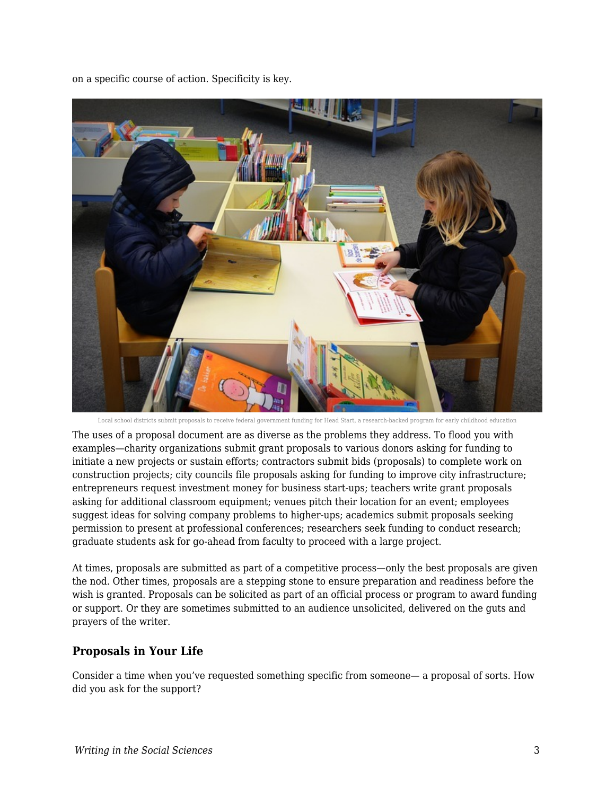on a specific course of action. Specificity is key.



Local school districts submit proposals to receive federal government funding for Head Start, a research-backed program for early childhood education

The uses of a proposal document are as diverse as the problems they address. To flood you with examples—charity organizations submit grant proposals to various donors asking for funding to initiate a new projects or sustain efforts; contractors submit bids (proposals) to complete work on construction projects; city councils file proposals asking for funding to improve city infrastructure; entrepreneurs request investment money for business start-ups; teachers write grant proposals asking for additional classroom equipment; venues pitch their location for an event; employees suggest ideas for solving company problems to higher-ups; academics submit proposals seeking permission to present at professional conferences; researchers seek funding to conduct research; graduate students ask for go-ahead from faculty to proceed with a large project.

At times, proposals are submitted as part of a competitive process—only the best proposals are given the nod. Other times, proposals are a stepping stone to ensure preparation and readiness before the wish is granted. Proposals can be solicited as part of an official process or program to award funding or support. Or they are sometimes submitted to an audience unsolicited, delivered on the guts and prayers of the writer.

#### **Proposals in Your Life**

Consider a time when you've requested something specific from someone— a proposal of sorts. How did you ask for the support?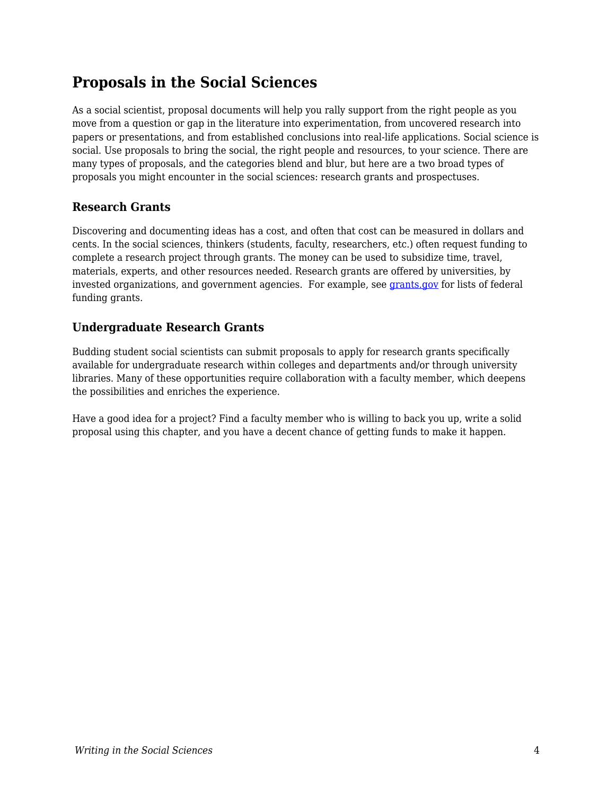# **Proposals in the Social Sciences**

As a social scientist, proposal documents will help you rally support from the right people as you move from a question or gap in the literature into experimentation, from uncovered research into papers or presentations, and from established conclusions into real-life applications. Social science is social. Use proposals to bring the social, the right people and resources, to your science. There are many types of proposals, and the categories blend and blur, but here are a two broad types of proposals you might encounter in the social sciences: research grants and prospectuses.

# **Research Grants**

Discovering and documenting ideas has a cost, and often that cost can be measured in dollars and cents. In the social sciences, thinkers (students, faculty, researchers, etc.) often request funding to complete a research project through grants. The money can be used to subsidize time, travel, materials, experts, and other resources needed. Research grants are offered by universities, by invested organizations, and government agencies. For example, see [grants.gov](http://www.grants.gov/) for lists of federal funding grants.

# **Undergraduate Research Grants**

Budding student social scientists can submit proposals to apply for research grants specifically available for undergraduate research within colleges and departments and/or through university libraries. Many of these opportunities require collaboration with a faculty member, which deepens the possibilities and enriches the experience.

Have a good idea for a project? Find a faculty member who is willing to back you up, write a solid proposal using this chapter, and you have a decent chance of getting funds to make it happen.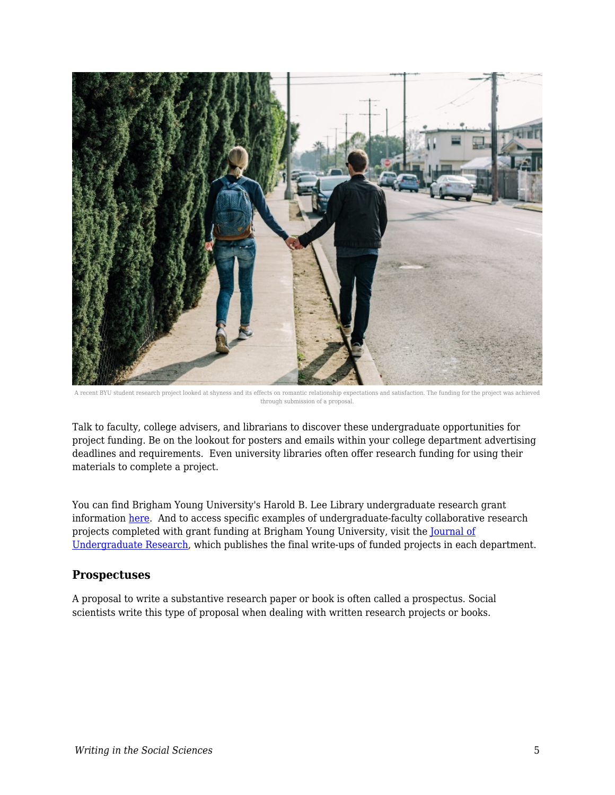

A recent BYU student research project looked at shyness and its effects on romantic relationship expectations and satisfaction. The funding for the project was achi through submission of a proposal.

Talk to faculty, college advisers, and librarians to discover these undergraduate opportunities for project funding. Be on the lookout for posters and emails within your college department advertising deadlines and requirements. Even university libraries often offer research funding for using their materials to complete a project.

You can find Brigham Young University's Harold B. Lee Library undergraduate research grant information [here.](https://lib.byu.edu/services/student-research-grants/) And to access specific examples of undergraduate-faculty collaborative research projects completed with grant funding at Brigham Young University, visit the [Journal of](http://jur.byu.edu/) [Undergraduate Research](http://jur.byu.edu/), which publishes the final write-ups of funded projects in each department.

#### **Prospectuses**

A proposal to write a substantive research paper or book is often called a prospectus. Social scientists write this type of proposal when dealing with written research projects or books.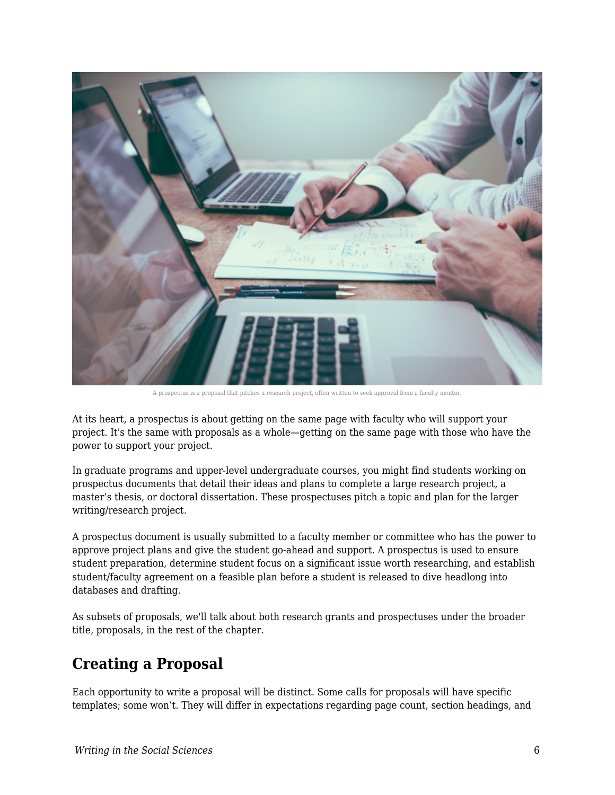

A prospectus is a proposal that pitches a research project, often written to seek approval from a faculty mentor.

At its heart, a prospectus is about getting on the same page with faculty who will support your project. It's the same with proposals as a whole—getting on the same page with those who have the power to support your project.

In graduate programs and upper-level undergraduate courses, you might find students working on prospectus documents that detail their ideas and plans to complete a large research project, a master's thesis, or doctoral dissertation. These prospectuses pitch a topic and plan for the larger writing/research project.

A prospectus document is usually submitted to a faculty member or committee who has the power to approve project plans and give the student go-ahead and support. A prospectus is used to ensure student preparation, determine student focus on a significant issue worth researching, and establish student/faculty agreement on a feasible plan before a student is released to dive headlong into databases and drafting.

As subsets of proposals, we'll talk about both research grants and prospectuses under the broader title, proposals, in the rest of the chapter.

# **Creating a Proposal**

Each opportunity to write a proposal will be distinct. Some calls for proposals will have specific templates; some won't. They will differ in expectations regarding page count, section headings, and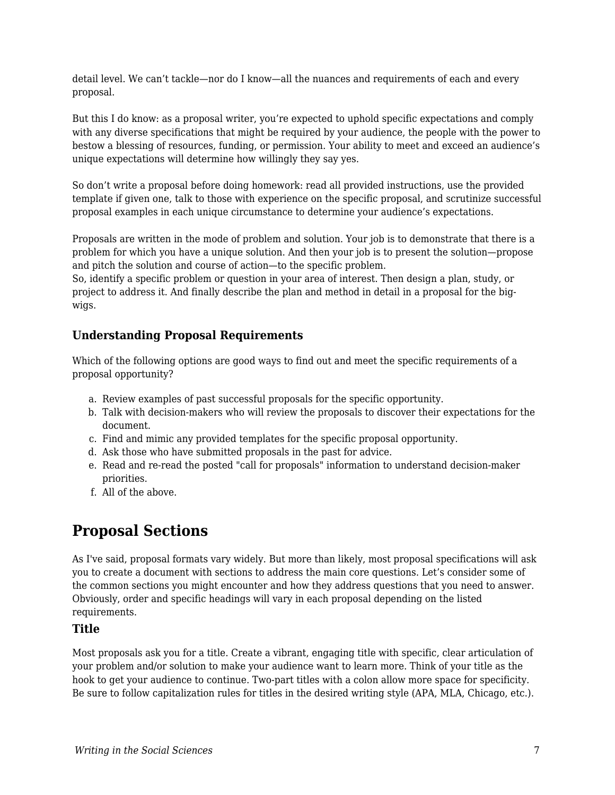detail level. We can't tackle—nor do I know—all the nuances and requirements of each and every proposal.

But this I do know: as a proposal writer, you're expected to uphold specific expectations and comply with any diverse specifications that might be required by your audience, the people with the power to bestow a blessing of resources, funding, or permission. Your ability to meet and exceed an audience's unique expectations will determine how willingly they say yes.

So don't write a proposal before doing homework: read all provided instructions, use the provided template if given one, talk to those with experience on the specific proposal, and scrutinize successful proposal examples in each unique circumstance to determine your audience's expectations.

Proposals are written in the mode of problem and solution. Your job is to demonstrate that there is a problem for which you have a unique solution. And then your job is to present the solution—propose and pitch the solution and course of action—to the specific problem.

So, identify a specific problem or question in your area of interest. Then design a plan, study, or project to address it. And finally describe the plan and method in detail in a proposal for the bigwigs.

### **Understanding Proposal Requirements**

Which of the following options are good ways to find out and meet the specific requirements of a proposal opportunity?

- a. Review examples of past successful proposals for the specific opportunity.
- b. Talk with decision-makers who will review the proposals to discover their expectations for the document.
- c. Find and mimic any provided templates for the specific proposal opportunity.
- d. Ask those who have submitted proposals in the past for advice.
- e. Read and re-read the posted "call for proposals" information to understand decision-maker priorities.
- f. All of the above.

# **Proposal Sections**

As I've said, proposal formats vary widely. But more than likely, most proposal specifications will ask you to create a document with sections to address the main core questions. Let's consider some of the common sections you might encounter and how they address questions that you need to answer. Obviously, order and specific headings will vary in each proposal depending on the listed requirements.

#### **Title**

Most proposals ask you for a title. Create a vibrant, engaging title with specific, clear articulation of your problem and/or solution to make your audience want to learn more. Think of your title as the hook to get your audience to continue. Two-part titles with a colon allow more space for specificity. Be sure to follow capitalization rules for titles in the desired writing style (APA, MLA, Chicago, etc.).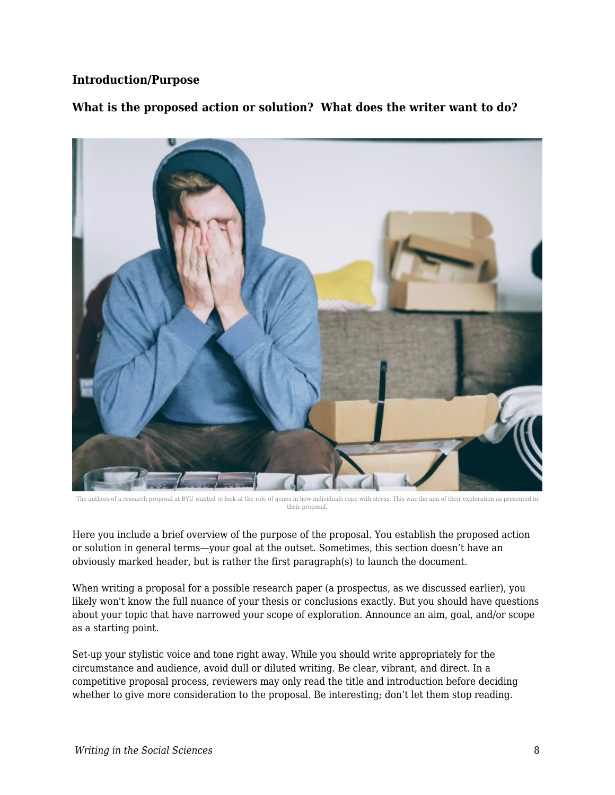#### **Introduction/Purpose**

**What is the proposed action or solution? What does the writer want to do?**



The authors of a research proposal at BYU wanted to look at the role of genes in how individuals cope with stress. This was the aim of their exploration as presented in their proposal.

Here you include a brief overview of the purpose of the proposal. You establish the proposed action or solution in general terms—your goal at the outset. Sometimes, this section doesn't have an obviously marked header, but is rather the first paragraph(s) to launch the document.

When writing a proposal for a possible research paper (a prospectus, as we discussed earlier), you likely won't know the full nuance of your thesis or conclusions exactly. But you should have questions about your topic that have narrowed your scope of exploration. Announce an aim, goal, and/or scope as a starting point.

Set-up your stylistic voice and tone right away. While you should write appropriately for the circumstance and audience, avoid dull or diluted writing. Be clear, vibrant, and direct. In a competitive proposal process, reviewers may only read the title and introduction before deciding whether to give more consideration to the proposal. Be interesting; don't let them stop reading.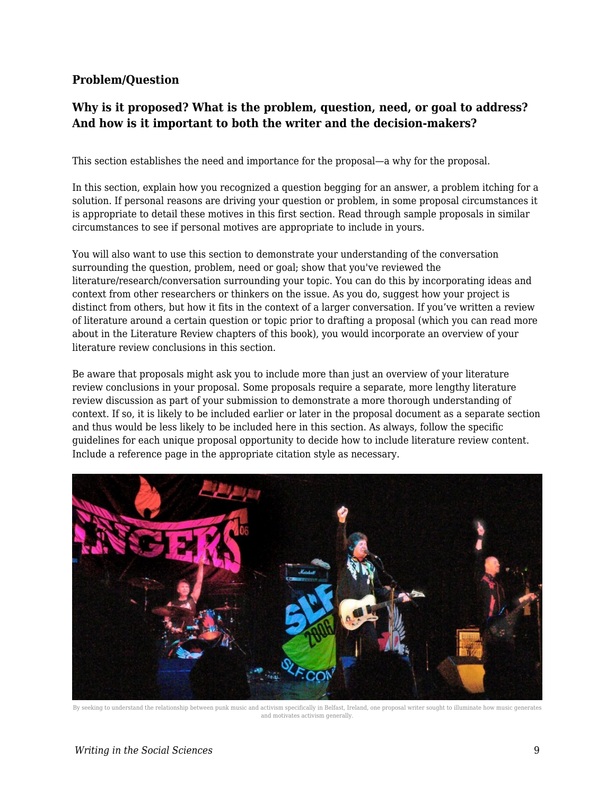### **Problem/Question**

# **Why is it proposed? What is the problem, question, need, or goal to address? And how is it important to both the writer and the decision-makers?**

This section establishes the need and importance for the proposal—a why for the proposal.

In this section, explain how you recognized a question begging for an answer, a problem itching for a solution. If personal reasons are driving your question or problem, in some proposal circumstances it is appropriate to detail these motives in this first section. Read through sample proposals in similar circumstances to see if personal motives are appropriate to include in yours.

You will also want to use this section to demonstrate your understanding of the conversation surrounding the question, problem, need or goal; show that you've reviewed the literature/research/conversation surrounding your topic. You can do this by incorporating ideas and context from other researchers or thinkers on the issue. As you do, suggest how your project is distinct from others, but how it fits in the context of a larger conversation. If you've written a review of literature around a certain question or topic prior to drafting a proposal (which you can read more about in the Literature Review chapters of this book), you would incorporate an overview of your literature review conclusions in this section.

Be aware that proposals might ask you to include more than just an overview of your literature review conclusions in your proposal. Some proposals require a separate, more lengthy literature review discussion as part of your submission to demonstrate a more thorough understanding of context. If so, it is likely to be included earlier or later in the proposal document as a separate section and thus would be less likely to be included here in this section. As always, follow the specific guidelines for each unique proposal opportunity to decide how to include literature review content. Include a reference page in the appropriate citation style as necessary.



By seeking to understand the relationship between punk music and activism specifically in Belfast, Ireland, one proposal writer sought to illuminate how music generates and motivates activism generally.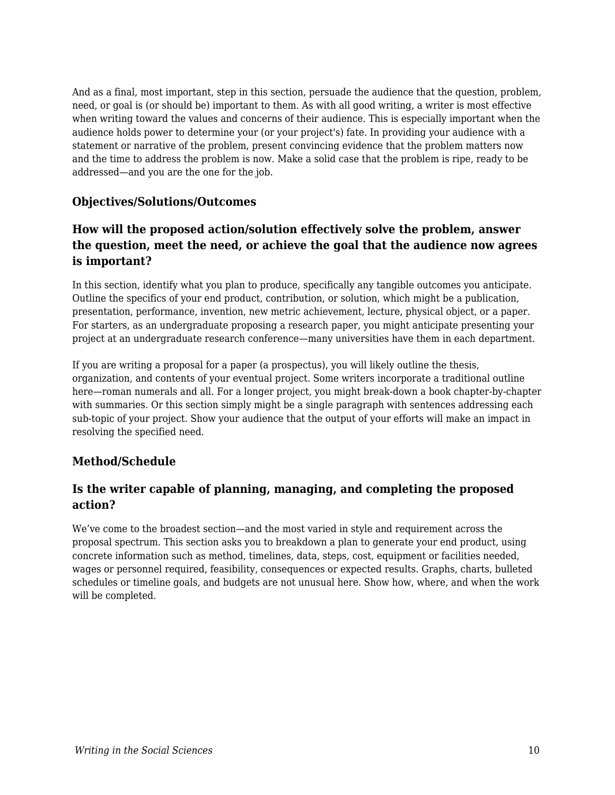And as a final, most important, step in this section, persuade the audience that the question, problem, need, or goal is (or should be) important to them. As with all good writing, a writer is most effective when writing toward the values and concerns of their audience. This is especially important when the audience holds power to determine your (or your project's) fate. In providing your audience with a statement or narrative of the problem, present convincing evidence that the problem matters now and the time to address the problem is now. Make a solid case that the problem is ripe, ready to be addressed—and you are the one for the job.

#### **Objectives/Solutions/Outcomes**

# **How will the proposed action/solution effectively solve the problem, answer the question, meet the need, or achieve the goal that the audience now agrees is important?**

In this section, identify what you plan to produce, specifically any tangible outcomes you anticipate. Outline the specifics of your end product, contribution, or solution, which might be a publication, presentation, performance, invention, new metric achievement, lecture, physical object, or a paper. For starters, as an undergraduate proposing a research paper, you might anticipate presenting your project at an undergraduate research conference—many universities have them in each department.

If you are writing a proposal for a paper (a prospectus), you will likely outline the thesis, organization, and contents of your eventual project. Some writers incorporate a traditional outline here—roman numerals and all. For a longer project, you might break-down a book chapter-by-chapter with summaries. Or this section simply might be a single paragraph with sentences addressing each sub-topic of your project. Show your audience that the output of your efforts will make an impact in resolving the specified need.

## **Method/Schedule**

## **Is the writer capable of planning, managing, and completing the proposed action?**

We've come to the broadest section—and the most varied in style and requirement across the proposal spectrum. This section asks you to breakdown a plan to generate your end product, using concrete information such as method, timelines, data, steps, cost, equipment or facilities needed, wages or personnel required, feasibility, consequences or expected results. Graphs, charts, bulleted schedules or timeline goals, and budgets are not unusual here. Show how, where, and when the work will be completed.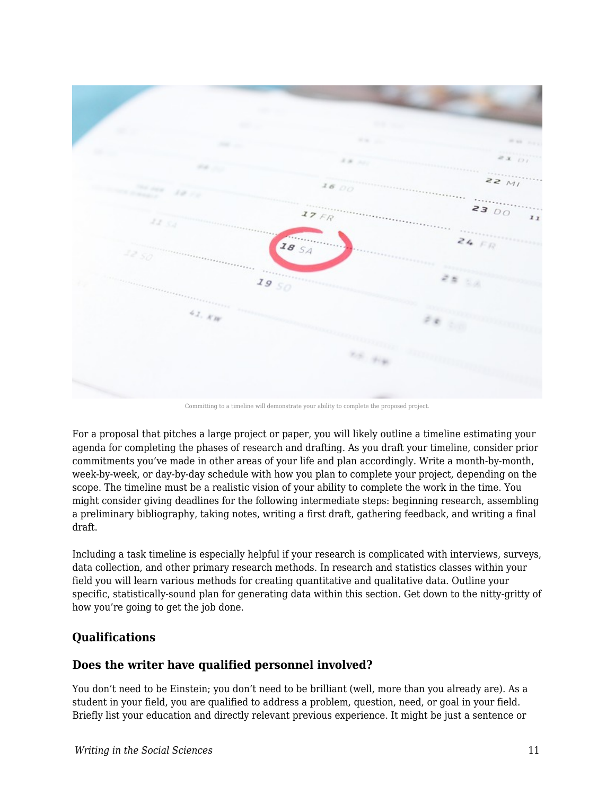

Committing to a timeline will demonstrate your ability to complete the proposed project.

For a proposal that pitches a large project or paper, you will likely outline a timeline estimating your agenda for completing the phases of research and drafting. As you draft your timeline, consider prior commitments you've made in other areas of your life and plan accordingly. Write a month-by-month, week-by-week, or day-by-day schedule with how you plan to complete your project, depending on the scope. The timeline must be a realistic vision of your ability to complete the work in the time. You might consider giving deadlines for the following intermediate steps: beginning research, assembling a preliminary bibliography, taking notes, writing a first draft, gathering feedback, and writing a final draft.

Including a task timeline is especially helpful if your research is complicated with interviews, surveys, data collection, and other primary research methods. In research and statistics classes within your field you will learn various methods for creating quantitative and qualitative data. Outline your specific, statistically-sound plan for generating data within this section. Get down to the nitty-gritty of how you're going to get the job done.

## **Qualifications**

## **Does the writer have qualified personnel involved?**

You don't need to be Einstein; you don't need to be brilliant (well, more than you already are). As a student in your field, you are qualified to address a problem, question, need, or goal in your field. Briefly list your education and directly relevant previous experience. It might be just a sentence or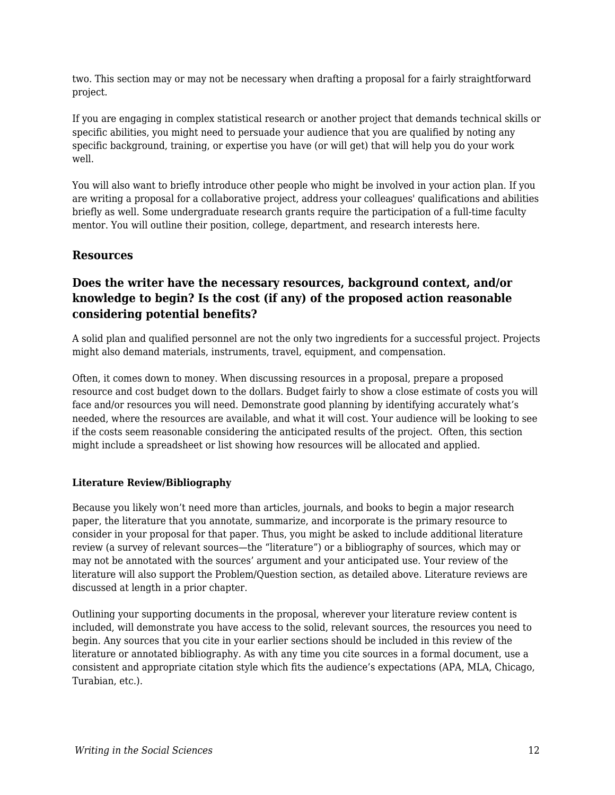two. This section may or may not be necessary when drafting a proposal for a fairly straightforward project.

If you are engaging in complex statistical research or another project that demands technical skills or specific abilities, you might need to persuade your audience that you are qualified by noting any specific background, training, or expertise you have (or will get) that will help you do your work well.

You will also want to briefly introduce other people who might be involved in your action plan. If you are writing a proposal for a collaborative project, address your colleagues' qualifications and abilities briefly as well. Some undergraduate research grants require the participation of a full-time faculty mentor. You will outline their position, college, department, and research interests here.

#### **Resources**

# **Does the writer have the necessary resources, background context, and/or knowledge to begin? Is the cost (if any) of the proposed action reasonable considering potential benefits?**

A solid plan and qualified personnel are not the only two ingredients for a successful project. Projects might also demand materials, instruments, travel, equipment, and compensation.

Often, it comes down to money. When discussing resources in a proposal, prepare a proposed resource and cost budget down to the dollars. Budget fairly to show a close estimate of costs you will face and/or resources you will need. Demonstrate good planning by identifying accurately what's needed, where the resources are available, and what it will cost. Your audience will be looking to see if the costs seem reasonable considering the anticipated results of the project. Often, this section might include a spreadsheet or list showing how resources will be allocated and applied.

#### **Literature Review/Bibliography**

Because you likely won't need more than articles, journals, and books to begin a major research paper, the literature that you annotate, summarize, and incorporate is the primary resource to consider in your proposal for that paper. Thus, you might be asked to include additional literature review (a survey of relevant sources—the "literature") or a bibliography of sources, which may or may not be annotated with the sources' argument and your anticipated use. Your review of the literature will also support the Problem/Question section, as detailed above. Literature reviews are discussed at length in a prior chapter.

Outlining your supporting documents in the proposal, wherever your literature review content is included, will demonstrate you have access to the solid, relevant sources, the resources you need to begin. Any sources that you cite in your earlier sections should be included in this review of the literature or annotated bibliography. As with any time you cite sources in a formal document, use a consistent and appropriate citation style which fits the audience's expectations (APA, MLA, Chicago, Turabian, etc.).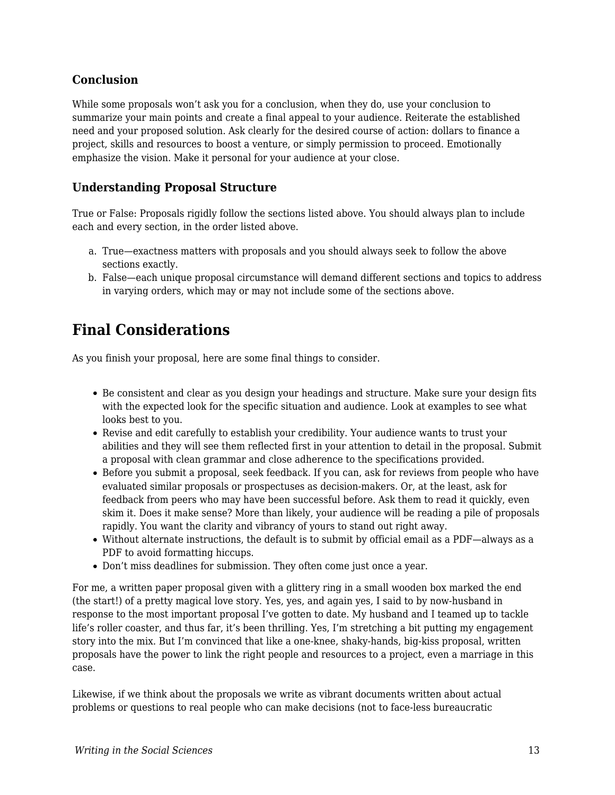## **Conclusion**

While some proposals won't ask you for a conclusion, when they do, use your conclusion to summarize your main points and create a final appeal to your audience. Reiterate the established need and your proposed solution. Ask clearly for the desired course of action: dollars to finance a project, skills and resources to boost a venture, or simply permission to proceed. Emotionally emphasize the vision. Make it personal for your audience at your close.

#### **Understanding Proposal Structure**

True or False: Proposals rigidly follow the sections listed above. You should always plan to include each and every section, in the order listed above.

- a. True—exactness matters with proposals and you should always seek to follow the above sections exactly.
- b. False—each unique proposal circumstance will demand different sections and topics to address in varying orders, which may or may not include some of the sections above.

# **Final Considerations**

As you finish your proposal, here are some final things to consider.

- Be consistent and clear as you design your headings and structure. Make sure your design fits with the expected look for the specific situation and audience. Look at examples to see what looks best to you.
- Revise and edit carefully to establish your credibility. Your audience wants to trust your abilities and they will see them reflected first in your attention to detail in the proposal. Submit a proposal with clean grammar and close adherence to the specifications provided.
- Before you submit a proposal, seek feedback. If you can, ask for reviews from people who have evaluated similar proposals or prospectuses as decision-makers. Or, at the least, ask for feedback from peers who may have been successful before. Ask them to read it quickly, even skim it. Does it make sense? More than likely, your audience will be reading a pile of proposals rapidly. You want the clarity and vibrancy of yours to stand out right away.
- Without alternate instructions, the default is to submit by official email as a PDF—always as a PDF to avoid formatting hiccups.
- Don't miss deadlines for submission. They often come just once a year.

For me, a written paper proposal given with a glittery ring in a small wooden box marked the end (the start!) of a pretty magical love story. Yes, yes, and again yes, I said to by now-husband in response to the most important proposal I've gotten to date. My husband and I teamed up to tackle life's roller coaster, and thus far, it's been thrilling. Yes, I'm stretching a bit putting my engagement story into the mix. But I'm convinced that like a one-knee, shaky-hands, big-kiss proposal, written proposals have the power to link the right people and resources to a project, even a marriage in this case.

Likewise, if we think about the proposals we write as vibrant documents written about actual problems or questions to real people who can make decisions (not to face-less bureaucratic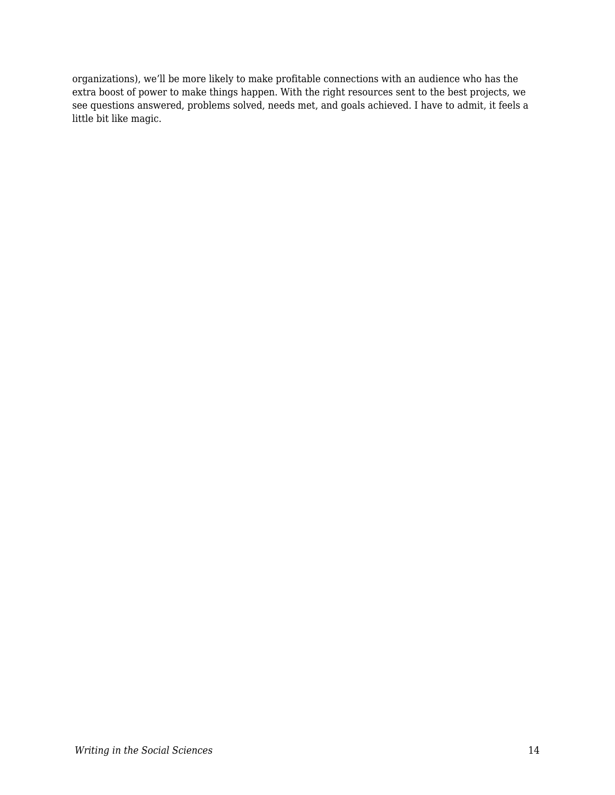organizations), we'll be more likely to make profitable connections with an audience who has the extra boost of power to make things happen. With the right resources sent to the best projects, we see questions answered, problems solved, needs met, and goals achieved. I have to admit, it feels a little bit like magic.